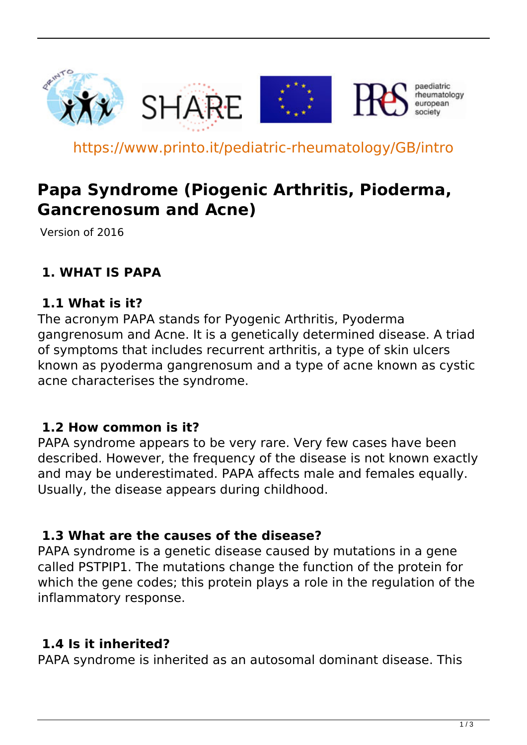

https://www.printo.it/pediatric-rheumatology/GB/intro

# **Papa Syndrome (Piogenic Arthritis, Pioderma, Gancrenosum and Acne)**

Version of 2016

# **1. WHAT IS PAPA**

#### **1.1 What is it?**

The acronym PAPA stands for Pyogenic Arthritis, Pyoderma gangrenosum and Acne. It is a genetically determined disease. A triad of symptoms that includes recurrent arthritis, a type of skin ulcers known as pyoderma gangrenosum and a type of acne known as cystic acne characterises the syndrome.

#### **1.2 How common is it?**

PAPA syndrome appears to be very rare. Very few cases have been described. However, the frequency of the disease is not known exactly and may be underestimated. PAPA affects male and females equally. Usually, the disease appears during childhood.

#### **1.3 What are the causes of the disease?**

PAPA syndrome is a genetic disease caused by mutations in a gene called PSTPIP1. The mutations change the function of the protein for which the gene codes; this protein plays a role in the regulation of the inflammatory response.

### **1.4 Is it inherited?**

PAPA syndrome is inherited as an autosomal dominant disease. This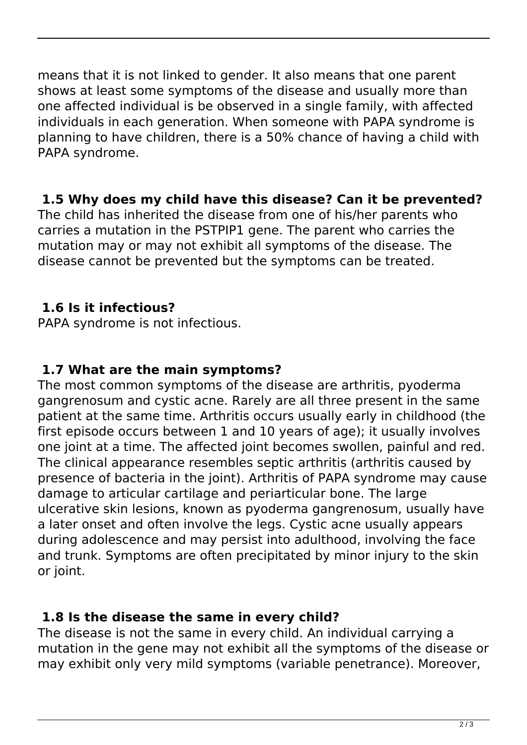means that it is not linked to gender. It also means that one parent shows at least some symptoms of the disease and usually more than one affected individual is be observed in a single family, with affected individuals in each generation. When someone with PAPA syndrome is planning to have children, there is a 50% chance of having a child with PAPA syndrome.

### **1.5 Why does my child have this disease? Can it be prevented?**

The child has inherited the disease from one of his/her parents who carries a mutation in the PSTPIP1 gene. The parent who carries the mutation may or may not exhibit all symptoms of the disease. The disease cannot be prevented but the symptoms can be treated.

# **1.6 Is it infectious?**

PAPA syndrome is not infectious.

## **1.7 What are the main symptoms?**

The most common symptoms of the disease are arthritis, pyoderma gangrenosum and cystic acne. Rarely are all three present in the same patient at the same time. Arthritis occurs usually early in childhood (the first episode occurs between 1 and 10 years of age); it usually involves one joint at a time. The affected joint becomes swollen, painful and red. The clinical appearance resembles septic arthritis (arthritis caused by presence of bacteria in the joint). Arthritis of PAPA syndrome may cause damage to articular cartilage and periarticular bone. The large ulcerative skin lesions, known as pyoderma gangrenosum, usually have a later onset and often involve the legs. Cystic acne usually appears during adolescence and may persist into adulthood, involving the face and trunk. Symptoms are often precipitated by minor injury to the skin or joint.

# **1.8 Is the disease the same in every child?**

The disease is not the same in every child. An individual carrying a mutation in the gene may not exhibit all the symptoms of the disease or may exhibit only very mild symptoms (variable penetrance). Moreover,